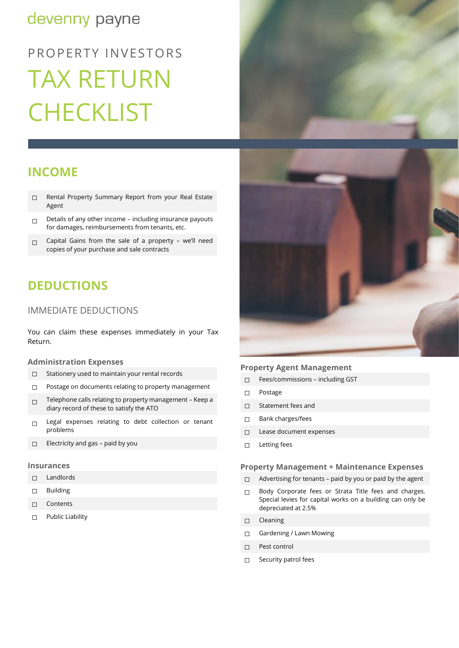# devenny payne

# PROPERTY INVESTORS TAX RETURN **CHECKLIST**

# **INCOME**

- ☐ Rental Property Summary Report from your Real Estate Agent
- $\Box$  Details of any other income including insurance payouts for damages, reimbursements from tenants, etc.
- $□$  Capital Gains from the sale of a property we'll need copies of your purchase and sale contracts

# **DEDUCTIONS**

# IMMEDIATE DEDUCTIONS

You can claim these expenses immediately in your Tax Return.

# **Administration Expenses**

- ☐ Stationery used to maintain your rental records
- ☐ Postage on documents relating to property management
- ☐ Telephone calls relating to property management Keep a diary record of these to satisfy the ATO
- □ Legal expenses relating to debt collection or tenant problems
- ☐ Electricity and gas paid by you

#### **Insurances**

- ☐ Landlords
- ☐ Building
- ☐ Contents
- ☐ Public Liability





## **Property Agent Management**

- ☐ Fees/commissions including GST
- ☐ Postage
- ☐ Statement fees and
- ☐ Bank charges/fees
- ☐ Lease document expenses
- ☐ Letting fees

# **Property Management + Maintenance Expenses**

- ☐ Advertising for tenants paid by you or paid by the agent
- □ Body Corporate fees or Strata Title fees and charges. Special levies for capital works on a building can only be depreciated at 2.5%
- ☐ Cleaning
- □ Gardening / Lawn Mowing
- ☐ Pest control
- □ Security patrol fees